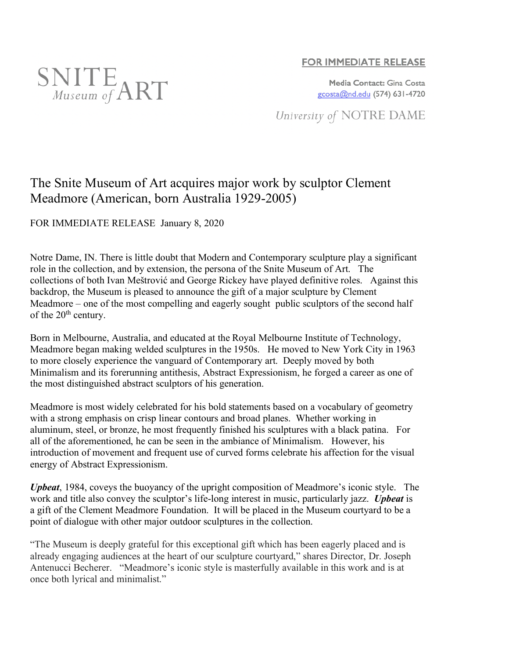

## **FOR IMMEDIATE RELEASE**

Media Contact: Gina Costa gcosta@nd.edu (574) 631-4720

University of NOTRE DAME

## The Snite Museum of Art acquires major work by sculptor Clement Meadmore (American, born Australia 1929-2005)

FOR IMMEDIATE RELEASE January 8, 2020

Notre Dame, IN. There is little doubt that Modern and Contemporary sculpture play a significant role in the collection, and by extension, the persona of the Snite Museum of Art. The collections of both Ivan Meštrović and George Rickey have played definitive roles. Against this backdrop, the Museum is pleased to announce the gift of a major sculpture by Clement Meadmore – one of the most compelling and eagerly sought public sculptors of the second half of the 20<sup>th</sup> century.

Born in Melbourne, Australia, and educated at the Royal Melbourne Institute of Technology, Meadmore began making welded sculptures in the 1950s. He moved to New York City in 1963 to more closely experience the vanguard of Contemporary art. Deeply moved by both Minimalism and its forerunning antithesis, Abstract Expressionism, he forged a career as one of the most distinguished abstract sculptors of his generation.

Meadmore is most widely celebrated for his bold statements based on a vocabulary of geometry with a strong emphasis on crisp linear contours and broad planes. Whether working in aluminum, steel, or bronze, he most frequently finished his sculptures with a black patina. For all of the aforementioned, he can be seen in the ambiance of Minimalism. However, his introduction of movement and frequent use of curved forms celebrate his affection for the visual energy of Abstract Expressionism.

*Upbeat*, 1984, coveys the buoyancy of the upright composition of Meadmore's iconic style. The work and title also convey the sculptor's life-long interest in music, particularly jazz. *Upbeat* is a gift of the Clement Meadmore Foundation. It will be placed in the Museum courtyard to be a point of dialogue with other major outdoor sculptures in the collection.

"The Museum is deeply grateful for this exceptional gift which has been eagerly placed and is already engaging audiences at the heart of our sculpture courtyard," shares Director, Dr. Joseph Antenucci Becherer. "Meadmore's iconic style is masterfully available in this work and is at once both lyrical and minimalist."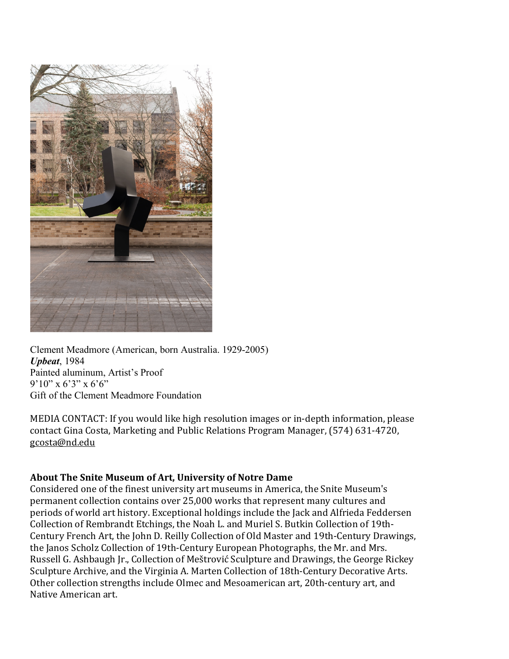

Clement Meadmore (American, born Australia. 1929-2005) *Upbeat*, 1984 Painted aluminum, Artist's Proof  $9'10''$  x 6'3" x 6'6" Gift of the Clement Meadmore Foundation

MEDIA CONTACT: If you would like high resolution images or in-depth information, please contact Gina Costa, Marketing and Public Relations Program Manager, (574) 631-4720, gcosta@nd.edu

## About The Snite Museum of Art, University of Notre Dame

Considered one of the finest university art museums in America, the Snite Museum's permanent collection contains over 25,000 works that represent many cultures and periods of world art history. Exceptional holdings include the Jack and Alfrieda Feddersen Collection of Rembrandt Etchings, the Noah L. and Muriel S. Butkin Collection of 19th-Century French Art, the John D. Reilly Collection of Old Master and 19th-Century Drawings, the Janos Scholz Collection of 19th-Century European Photographs, the Mr. and Mrs. Russell G. Ashbaugh Jr., Collection of Meštrović Sculpture and Drawings, the George Rickey Sculpture Archive, and the Virginia A. Marten Collection of 18th-Century Decorative Arts. Other collection strengths include Olmec and Mesoamerican art, 20th-century art, and Native American art.